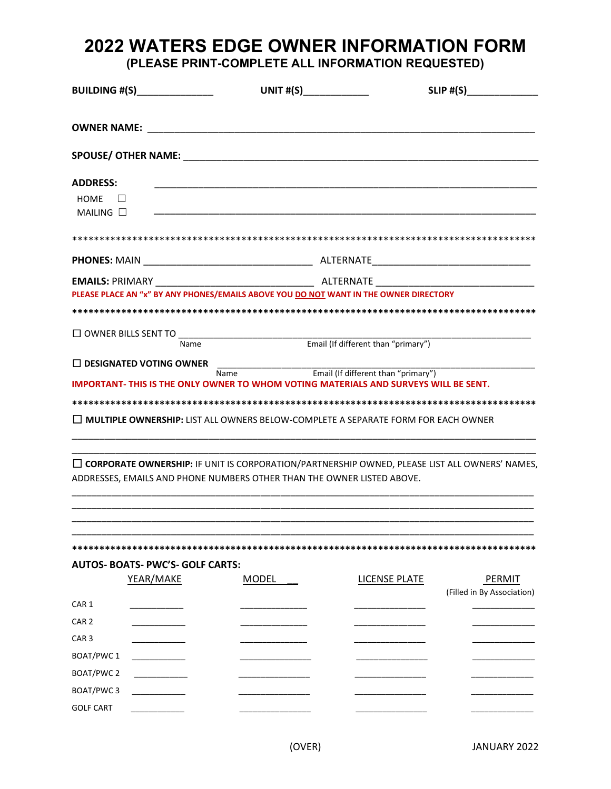# 2022 WATERS EDGE OWNER INFORMATION FORM (PLEASE PRINT-COMPLETE ALL INFORMATION REQUESTED)

|                                                             | <b>BUILDING #(S)________________</b>                 | UNIT $\#(S)$                                                                                                                                                                                                                        |                      | $SLIP$ #(S)                |
|-------------------------------------------------------------|------------------------------------------------------|-------------------------------------------------------------------------------------------------------------------------------------------------------------------------------------------------------------------------------------|----------------------|----------------------------|
|                                                             | <b>OWNER NAME: EXAMPLE EXAMPLE EXAMPLE</b>           |                                                                                                                                                                                                                                     |                      |                            |
|                                                             |                                                      | SPOUSE/ OTHER NAME: NAME:                                                                                                                                                                                                           |                      |                            |
| <b>ADDRESS:</b><br>HOME<br>$\Box$<br>MAILING $\square$      |                                                      |                                                                                                                                                                                                                                     |                      |                            |
|                                                             |                                                      |                                                                                                                                                                                                                                     |                      |                            |
|                                                             |                                                      |                                                                                                                                                                                                                                     |                      |                            |
|                                                             |                                                      | PLEASE PLACE AN "x" BY ANY PHONES/EMAILS ABOVE YOU DO NOT WANT IN THE OWNER DIRECTORY                                                                                                                                               |                      |                            |
|                                                             |                                                      | □ OWNER BILLS SENT TO<br>Email (If different than "primary")                                                                                                                                                                        |                      |                            |
|                                                             | $\Box$ DESIGNATED VOTING OWNER                       | Name Email (If different than "primary")<br>IMPORTANT- THIS IS THE ONLY OWNER TO WHOM VOTING MATERIALS AND SURVEYS WILL BE SENT.<br>$\Box$ <b>MULTIPLE OWNERSHIP:</b> LIST ALL OWNERS BELOW-COMPLETE A SEPARATE FORM FOR EACH OWNER |                      |                            |
|                                                             |                                                      | $\Box$ CORPORATE OWNERSHIP: IF UNIT IS CORPORATION/PARTNERSHIP OWNED, PLEASE LIST ALL OWNERS' NAMES<br>ADDRESSES, EMAILS AND PHONE NUMBERS OTHER THAN THE OWNER LISTED ABOVE.                                                       |                      |                            |
|                                                             | <b>AUTOS- BOATS- PWC'S- GOLF CARTS:</b><br>YEAR/MAKE | <b>MODEL</b>                                                                                                                                                                                                                        | <b>LICENSE PLATE</b> | PERMIT                     |
| CAR 1<br>CAR <sub>2</sub><br>CAR <sub>3</sub><br>BOAT/PWC 1 |                                                      |                                                                                                                                                                                                                                     |                      | (Filled in By Association) |
| BOAT/PWC 2<br>BOAT/PWC3<br><b>GOLF CART</b>                 |                                                      |                                                                                                                                                                                                                                     |                      |                            |

JANUARY 2022

(OVER)